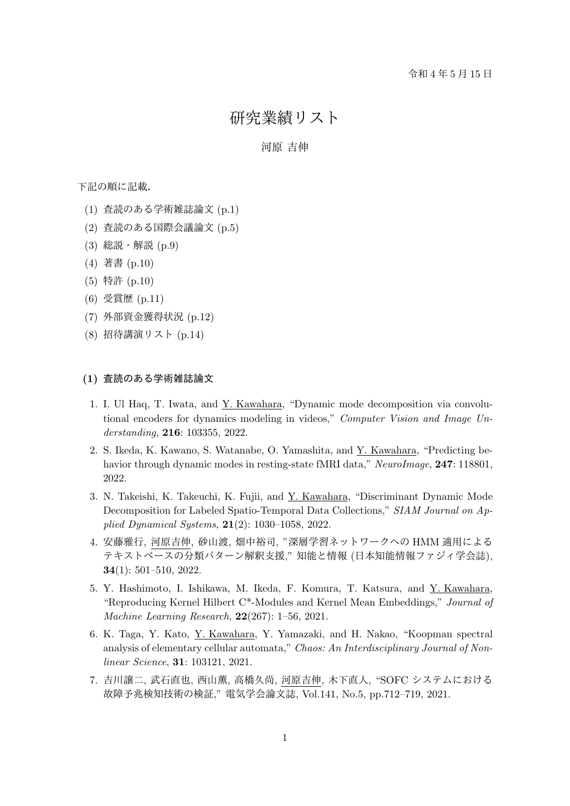研究業績リスト

# 河原 吉伸

下記の順に記載.

- (1) 査読のある学術雑誌論文 (p.1)
- (2) 査読のある国際会議論文 (p.5)
- (3) 総説・解説 (p.9)
- (4) 著書 (p.10)
- (5) 特許 (p.10)
- (6) 受賞歴 (p.11)
- (7) 外部資金獲得状況 (p.12)
- (8) 招待講演リスト (p.14)

#### **(1)** 査読のある学術雑誌論文

- 1. I. Ul Haq, T. Iwata, and Y. Kawahara, "Dynamic mode decomposition via convolutional encoders for dynamics modeling in videos," *Computer Vision and Image Understanding*, **216**: 103355, 2022.
- 2. S. Ikeda, K. Kawano, S. Watanabe, O. Yamashita, and Y. Kawahara, "Predicting behavior through dynamic modes in resting-state fMRI data," *NeuroImage*, **247**: 118801, 2022.
- 3. N. Takeishi, K. Takeuchi, K. Fujii, and Y. Kawahara, "Discriminant Dynamic Mode Decomposition for Labeled Spatio-Temporal Data Collections," *SIAM Journal on Applied Dynamical Systems*, **21**(2): 1030–1058, 2022.
- 4. 安藤雅行, 河原吉伸, 砂山渡, 畑中裕司, "深層学習ネットワークへの HMM 適用による テキストベースの分類パターン解釈支援," 知能と情報 (日本知能情報ファジィ学会誌), **34**(1): 501–510, 2022.
- 5. Y. Hashimoto, I. Ishikawa, M. Ikeda, F. Komura, T. Katsura, and Y. Kawahara, "Reproducing Kernel Hilbert C\*-Modules and Kernel Mean Embeddings," *Journal of Machine Learning Research*, **22**(267): 1–56, 2021.
- 6. K. Taga, Y. Kato, Y. Kawahara, Y. Yamazaki, and H. Nakao, "Koopman spectral analysis of elementary cellular automata," *Chaos: An Interdisciplinary Journal of Nonlinear Science*, **31**: 103121, 2021.
- 7. 吉川譲二, 武石直也, 西山薫, 高橋久尚, 河原吉伸, 木下直人, "SOFC システムにおける 故障予兆検知技術の検証," 電気学会論文誌, Vol.141, No.5, pp.712–719, 2021.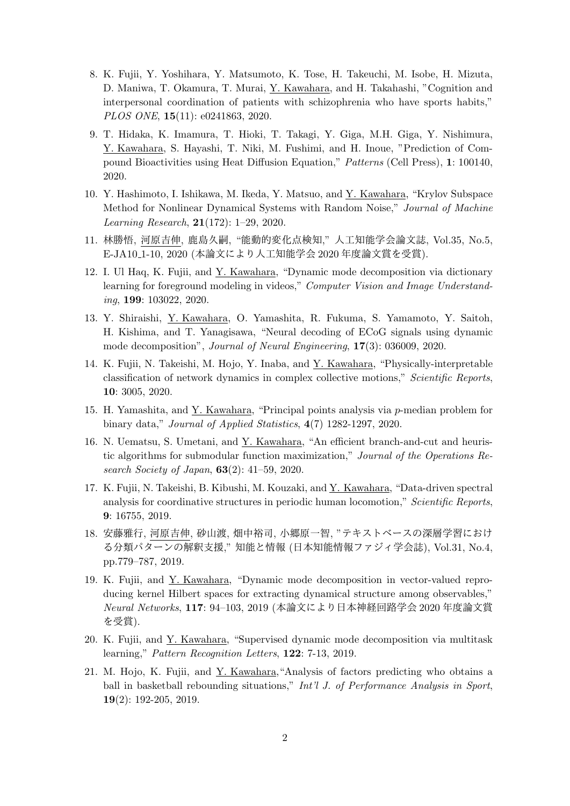- 8. K. Fujii, Y. Yoshihara, Y. Matsumoto, K. Tose, H. Takeuchi, M. Isobe, H. Mizuta, D. Maniwa, T. Okamura, T. Murai, Y. Kawahara, and H. Takahashi, "Cognition and interpersonal coordination of patients with schizophrenia who have sports habits," *PLOS ONE*, **15**(11): e0241863, 2020.
- 9. T. Hidaka, K. Imamura, T. Hioki, T. Takagi, Y. Giga, M.H. Giga, Y. Nishimura, Y. Kawahara, S. Hayashi, T. Niki, M. Fushimi, and H. Inoue, "Prediction of Compound Bioactivities using Heat Diffusion Equation," *Patterns* (Cell Press), **1**: 100140, 2020.
- 10. Y. Hashimoto, I. Ishikawa, M. Ikeda, Y. Matsuo, and Y. Kawahara, "Krylov Subspace Method for Nonlinear Dynamical Systems with Random Noise," *Journal of Machine Learning Research*, **21**(172): 1–29, 2020.
- 11. 林勝悟, 河原吉伸, 鹿島久嗣, "能動的変化点検知," 人工知能学会論文誌, Vol.35, No.5, E-JA10 1-10, 2020 (本論文により人工知能学会 2020 年度論文賞を受賞).
- 12. I. Ul Haq, K. Fujii, and Y. Kawahara, "Dynamic mode decomposition via dictionary learning for foreground modeling in videos," *Computer Vision and Image Understanding*, **199**: 103022, 2020.
- 13. Y. Shiraishi, Y. Kawahara, O. Yamashita, R. Fukuma, S. Yamamoto, Y. Saitoh, H. Kishima, and T. Yanagisawa, "Neural decoding of ECoG signals using dynamic mode decomposition", *Journal of Neural Engineering*, **17**(3): 036009, 2020.
- 14. K. Fujii, N. Takeishi, M. Hojo, Y. Inaba, and Y. Kawahara, "Physically-interpretable classification of network dynamics in complex collective motions," *Scientific Reports*, **10**: 3005, 2020.
- 15. H. Yamashita, and Y. Kawahara, "Principal points analysis via *p*-median problem for binary data," *Journal of Applied Statistics*, **4**(7) 1282-1297, 2020.
- 16. N. Uematsu, S. Umetani, and Y. Kawahara, "An efficient branch-and-cut and heuristic algorithms for submodular function maximization," *Journal of the Operations Research Society of Japan*, **63**(2): 41–59, 2020.
- 17. K. Fujii, N. Takeishi, B. Kibushi, M. Kouzaki, and Y. Kawahara, "Data-driven spectral analysis for coordinative structures in periodic human locomotion," *Scientific Reports*, **9**: 16755, 2019.
- 18. 安藤雅行, 河原吉伸, 砂山渡, 畑中裕司, 小郷原一智, "テキストベースの深層学習におけ る分類パターンの解釈支援," 知能と情報 (日本知能情報ファジィ学会誌), Vol.31, No.4, pp.779–787, 2019.
- 19. K. Fujii, and Y. Kawahara, "Dynamic mode decomposition in vector-valued reproducing kernel Hilbert spaces for extracting dynamical structure among observables," *Neural Networks*, **117**: 94–103, 2019 (本論文により日本神経回路学会 2020 年度論文賞 を受賞).
- 20. K. Fujii, and Y. Kawahara, "Supervised dynamic mode decomposition via multitask learning," *Pattern Recognition Letters*, **122**: 7-13, 2019.
- 21. M. Hojo, K. Fujii, and Y. Kawahara,"Analysis of factors predicting who obtains a ball in basketball rebounding situations," *Int'l J. of Performance Analysis in Sport*, **19**(2): 192-205, 2019.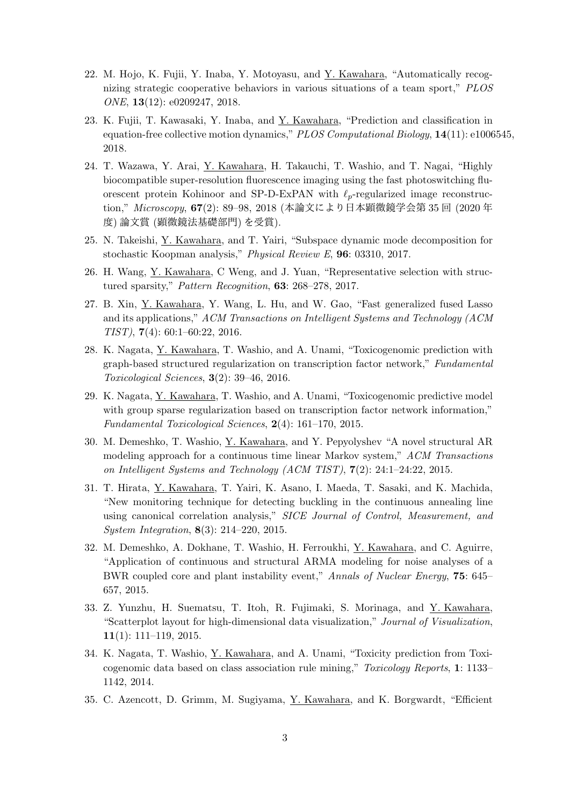- 22. M. Hojo, K. Fujii, Y. Inaba, Y. Motoyasu, and Y. Kawahara, "Automatically recognizing strategic cooperative behaviors in various situations of a team sport," *PLOS ONE*, **13**(12): e0209247, 2018.
- 23. K. Fujii, T. Kawasaki, Y. Inaba, and Y. Kawahara, "Prediction and classification in equation-free collective motion dynamics," *PLOS Computational Biology*, **14**(11): e1006545, 2018.
- 24. T. Wazawa, Y. Arai, Y. Kawahara, H. Takauchi, T. Washio, and T. Nagai, "Highly biocompatible super-resolution fluorescence imaging using the fast photoswitching fluorescent protein Kohinoor and SP-D-ExPAN with *ℓp*-regularized image reconstruction," *Microscopy*, **67**(2): 89–98, 2018 (本論文により日本顕微鏡学会第 35 回 (2020 年 度) 論文賞 (顕微鏡法基礎部門) を受賞).
- 25. N. Takeishi, Y. Kawahara, and T. Yairi, "Subspace dynamic mode decomposition for stochastic Koopman analysis," *Physical Review E*, **96**: 03310, 2017.
- 26. H. Wang, Y. Kawahara, C Weng, and J. Yuan, "Representative selection with structured sparsity," *Pattern Recognition*, **63**: 268–278, 2017.
- 27. B. Xin, Y. Kawahara, Y. Wang, L. Hu, and W. Gao, "Fast generalized fused Lasso and its applications," *ACM Transactions on Intelligent Systems and Technology (ACM TIST)*, **7**(4): 60:1–60:22, 2016.
- 28. K. Nagata, Y. Kawahara, T. Washio, and A. Unami, "Toxicogenomic prediction with graph-based structured regularization on transcription factor network," *Fundamental Toxicological Sciences*, **3**(2): 39–46, 2016.
- 29. K. Nagata, Y. Kawahara, T. Washio, and A. Unami, "Toxicogenomic predictive model with group sparse regularization based on transcription factor network information," *Fundamental Toxicological Sciences*, **2**(4): 161–170, 2015.
- 30. M. Demeshko, T. Washio, Y. Kawahara, and Y. Pepyolyshev "A novel structural AR modeling approach for a continuous time linear Markov system," *ACM Transactions on Intelligent Systems and Technology (ACM TIST)*, **7**(2): 24:1–24:22, 2015.
- 31. T. Hirata, Y. Kawahara, T. Yairi, K. Asano, I. Maeda, T. Sasaki, and K. Machida, "New monitoring technique for detecting buckling in the continuous annealing line using canonical correlation analysis," *SICE Journal of Control, Measurement, and System Integration*, **8**(3): 214–220, 2015.
- 32. M. Demeshko, A. Dokhane, T. Washio, H. Ferroukhi, Y. Kawahara, and C. Aguirre, "Application of continuous and structural ARMA modeling for noise analyses of a BWR coupled core and plant instability event," *Annals of Nuclear Energy*, **75**: 645– 657, 2015.
- 33. Z. Yunzhu, H. Suematsu, T. Itoh, R. Fujimaki, S. Morinaga, and Y. Kawahara, "Scatterplot layout for high-dimensional data visualization," *Journal of Visualization*, **11**(1): 111–119, 2015.
- 34. K. Nagata, T. Washio, Y. Kawahara, and A. Unami, "Toxicity prediction from Toxicogenomic data based on class association rule mining," *Toxicology Reports*, **1**: 1133– 1142, 2014.
- 35. C. Azencott, D. Grimm, M. Sugiyama, Y. Kawahara, and K. Borgwardt, "Efficient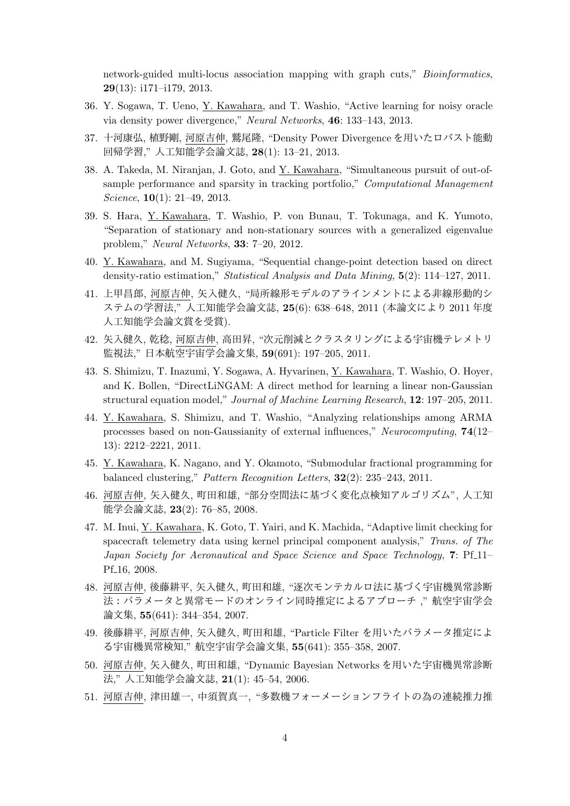network-guided multi-locus association mapping with graph cuts," *Bioinformatics*, **29**(13): i171–i179, 2013.

- 36. Y. Sogawa, T. Ueno, Y. Kawahara, and T. Washio, "Active learning for noisy oracle via density power divergence," *Neural Networks*, **46**: 133–143, 2013.
- 37. 十河康弘, 植野剛, 河原吉伸, 鷲尾隆, "Density Power Divergence を用いたロバスト能動 回帰学習," 人工知能学会論文誌, **28**(1): 13–21, 2013.
- 38. A. Takeda, M. Niranjan, J. Goto, and Y. Kawahara, "Simultaneous pursuit of out-ofsample performance and sparsity in tracking portfolio," *Computational Management Science*, **10**(1): 21–49, 2013.
- 39. S. Hara, Y. Kawahara, T. Washio, P. von Bunau, T. Tokunaga, and K. Yumoto, "Separation of stationary and non-stationary sources with a generalized eigenvalue problem," *Neural Networks*, **33**: 7–20, 2012.
- 40. Y. Kawahara, and M. Sugiyama, "Sequential change-point detection based on direct density-ratio estimation," *Statistical Analysis and Data Mining*, **5**(2): 114–127, 2011.
- 41. 上甲昌郎, 河原吉伸, 矢入健久, "局所線形モデルのアラインメントによる非線形動的シ ステムの学習法," 人工知能学会論文誌, **25**(6): 638–648, 2011 (本論文により 2011 年度 人工知能学会論文賞を受賞).
- 42. 矢入健久, 乾稔, 河原吉伸, 高田昇, "次元削減とクラスタリングによる宇宙機テレメトリ 監視法," 日本航空宇宙学会論文集, **59**(691): 197–205, 2011.
- 43. S. Shimizu, T. Inazumi, Y. Sogawa, A. Hyvarinen, Y. Kawahara, T. Washio, O. Hoyer, and K. Bollen, "DirectLiNGAM: A direct method for learning a linear non-Gaussian structural equation model," *Journal of Machine Learning Research*, **12**: 197–205, 2011.
- 44. Y. Kawahara, S. Shimizu, and T. Washio, "Analyzing relationships among ARMA processes based on non-Gaussianity of external influences," *Neurocomputing*, **74**(12– 13): 2212–2221, 2011.
- 45. Y. Kawahara, K. Nagano, and Y. Okamoto, "Submodular fractional programming for balanced clustering," *Pattern Recognition Letters*, **32**(2): 235–243, 2011.
- 46. 河原吉伸, 矢入健久, 町田和雄, "部分空間法に基づく変化点検知アルゴリズム", 人工知 能学会論文誌, **23**(2): 76–85, 2008.
- 47. M. Inui, Y. Kawahara, K. Goto, T. Yairi, and K. Machida, "Adaptive limit checking for spacecraft telemetry data using kernel principal component analysis," *Trans. of The Japan Society for Aeronautical and Space Science and Space Technology*, **7**: Pf<sub>-11</sub>-Pf<sub>-16</sub>, 2008.
- 48. 河原吉伸, 後藤耕平, 矢入健久, 町田和雄, "逐次モンテカルロ法に基づく宇宙機異常診断 法:パラメータと異常モードのオンライン同時推定によるアプローチ ," 航空宇宙学会 論文集, **55**(641): 344–354, 2007.
- 49. 後藤耕平, 河原吉伸, 矢入健久, 町田和雄, "Particle Filter を用いたパラメータ推定によ る宇宙機異常検知," 航空宇宙学会論文集, **55**(641): 355–358, 2007.
- 50. 河原吉伸, 矢入健久, 町田和雄, "Dynamic Bayesian Networks を用いた宇宙機異常診断 法," 人工知能学会論文誌, **21**(1): 45–54, 2006.
- 51. 河原吉伸, 津田雄一, 中須賀真一, "多数機フォーメーションフライトの為の連続推力推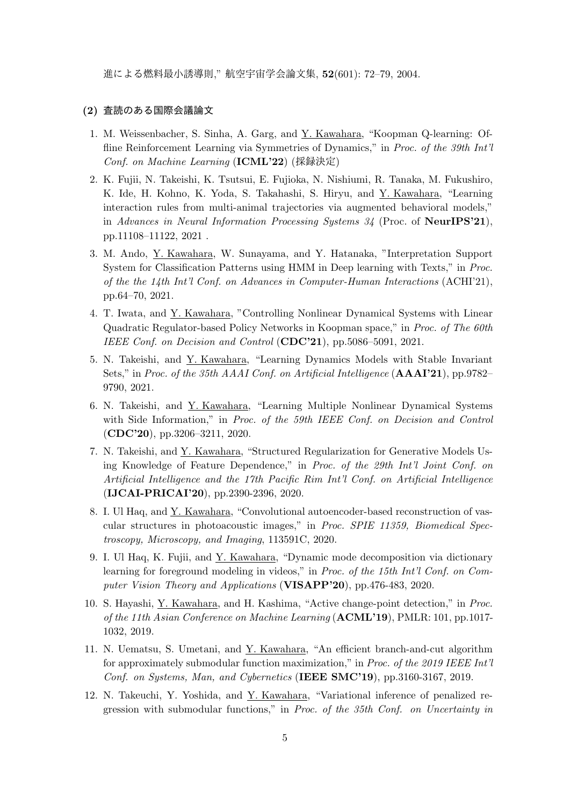進による燃料最小誘導則," 航空宇宙学会論文集, **52**(601): 72–79, 2004.

#### **(2)** 査読のある国際会議論文

- 1. M. Weissenbacher, S. Sinha, A. Garg, and Y. Kawahara, "Koopman Q-learning: Offline Reinforcement Learning via Symmetries of Dynamics," in *Proc. of the 39th Int'l Conf. on Machine Learning* (**ICML'22**) (採録決定)
- 2. K. Fujii, N. Takeishi, K. Tsutsui, E. Fujioka, N. Nishiumi, R. Tanaka, M. Fukushiro, K. Ide, H. Kohno, K. Yoda, S. Takahashi, S. Hiryu, and Y. Kawahara, "Learning interaction rules from multi-animal trajectories via augmented behavioral models," in *Advances in Neural Information Processing Systems 34* (Proc. of **NeurIPS'21**), pp.11108–11122, 2021 .
- 3. M. Ando, Y. Kawahara, W. Sunayama, and Y. Hatanaka, "Interpretation Support System for Classification Patterns using HMM in Deep learning with Texts," in *Proc. of the the 14th Int'l Conf. on Advances in Computer-Human Interactions* (ACHI'21), pp.64–70, 2021.
- 4. T. Iwata, and Y. Kawahara, "Controlling Nonlinear Dynamical Systems with Linear Quadratic Regulator-based Policy Networks in Koopman space," in *Proc. of The 60th IEEE Conf. on Decision and Control* (**CDC'21**), pp.5086–5091, 2021.
- 5. N. Takeishi, and Y. Kawahara, "Learning Dynamics Models with Stable Invariant Sets," in *Proc. of the 35th AAAI Conf. on Artificial Intelligence* (**AAAI'21**), pp.9782– 9790, 2021.
- 6. N. Takeishi, and Y. Kawahara, "Learning Multiple Nonlinear Dynamical Systems with Side Information," in *Proc. of the 59th IEEE Conf. on Decision and Control* (**CDC'20**), pp.3206–3211, 2020.
- 7. N. Takeishi, and Y. Kawahara, "Structured Regularization for Generative Models Using Knowledge of Feature Dependence," in *Proc. of the 29th Int'l Joint Conf. on Artificial Intelligence and the 17th Pacific Rim Int'l Conf. on Artificial Intelligence* (**IJCAI-PRICAI'20**), pp.2390-2396, 2020.
- 8. I. Ul Haq, and Y. Kawahara, "Convolutional autoencoder-based reconstruction of vascular structures in photoacoustic images," in *Proc. SPIE 11359, Biomedical Spectroscopy, Microscopy, and Imaging*, 113591C, 2020.
- 9. I. Ul Haq, K. Fujii, and Y. Kawahara, "Dynamic mode decomposition via dictionary learning for foreground modeling in videos," in *Proc. of the 15th Int'l Conf. on Computer Vision Theory and Applications* (**VISAPP'20**), pp.476-483, 2020.
- 10. S. Hayashi, Y. Kawahara, and H. Kashima, "Active change-point detection," in *Proc. of the 11th Asian Conference on Machine Learning* (**ACML'19**), PMLR: 101, pp.1017- 1032, 2019.
- 11. N. Uematsu, S. Umetani, and Y. Kawahara, "An efficient branch-and-cut algorithm for approximately submodular function maximization," in *Proc. of the 2019 IEEE Int'l Conf. on Systems, Man, and Cybernetics* (**IEEE SMC'19**), pp.3160-3167, 2019.
- 12. N. Takeuchi, Y. Yoshida, and Y. Kawahara, "Variational inference of penalized regression with submodular functions," in *Proc. of the 35th Conf. on Uncertainty in*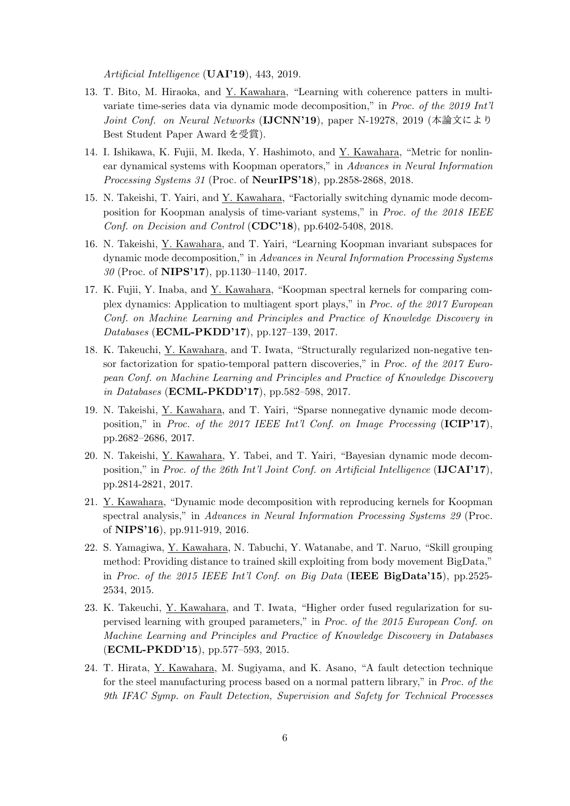*Artificial Intelligence* (**UAI'19**), 443, 2019.

- 13. T. Bito, M. Hiraoka, and Y. Kawahara, "Learning with coherence patters in multivariate time-series data via dynamic mode decomposition," in *Proc. of the 2019 Int'l Joint Conf. on Neural Networks* (**IJCNN'19**), paper N-19278, 2019 (本論文により Best Student Paper Award を受賞).
- 14. I. Ishikawa, K. Fujii, M. Ikeda, Y. Hashimoto, and Y. Kawahara, "Metric for nonlinear dynamical systems with Koopman operators," in *Advances in Neural Information Processing Systems 31* (Proc. of **NeurIPS'18**), pp.2858-2868, 2018.
- 15. N. Takeishi, T. Yairi, and Y. Kawahara, "Factorially switching dynamic mode decomposition for Koopman analysis of time-variant systems," in *Proc. of the 2018 IEEE Conf. on Decision and Control* (**CDC'18**), pp.6402-5408, 2018.
- 16. N. Takeishi, Y. Kawahara, and T. Yairi, "Learning Koopman invariant subspaces for dynamic mode decomposition," in *Advances in Neural Information Processing Systems 30* (Proc. of **NIPS'17**), pp.1130–1140, 2017.
- 17. K. Fujii, Y. Inaba, and Y. Kawahara, "Koopman spectral kernels for comparing complex dynamics: Application to multiagent sport plays," in *Proc. of the 2017 European Conf. on Machine Learning and Principles and Practice of Knowledge Discovery in Databases* (**ECML-PKDD'17**), pp.127–139, 2017.
- 18. K. Takeuchi, Y. Kawahara, and T. Iwata, "Structurally regularized non-negative tensor factorization for spatio-temporal pattern discoveries," in *Proc. of the 2017 European Conf. on Machine Learning and Principles and Practice of Knowledge Discovery in Databases* (**ECML-PKDD'17**), pp.582–598, 2017.
- 19. N. Takeishi, Y. Kawahara, and T. Yairi, "Sparse nonnegative dynamic mode decomposition," in *Proc. of the 2017 IEEE Int'l Conf. on Image Processing* (**ICIP'17**), pp.2682–2686, 2017.
- 20. N. Takeishi, Y. Kawahara, Y. Tabei, and T. Yairi, "Bayesian dynamic mode decomposition," in *Proc. of the 26th Int'l Joint Conf. on Artificial Intelligence* (**IJCAI'17**), pp.2814-2821, 2017.
- 21. Y. Kawahara, "Dynamic mode decomposition with reproducing kernels for Koopman spectral analysis," in *Advances in Neural Information Processing Systems 29* (Proc. of **NIPS'16**), pp.911-919, 2016.
- 22. S. Yamagiwa, Y. Kawahara, N. Tabuchi, Y. Watanabe, and T. Naruo, "Skill grouping method: Providing distance to trained skill exploiting from body movement BigData," in *Proc. of the 2015 IEEE Int'l Conf. on Big Data* (**IEEE BigData'15**), pp.2525- 2534, 2015.
- 23. K. Takeuchi, Y. Kawahara, and T. Iwata, "Higher order fused regularization for supervised learning with grouped parameters," in *Proc. of the 2015 European Conf. on Machine Learning and Principles and Practice of Knowledge Discovery in Databases* (**ECML-PKDD'15**), pp.577–593, 2015.
- 24. T. Hirata, Y. Kawahara, M. Sugiyama, and K. Asano, "A fault detection technique for the steel manufacturing process based on a normal pattern library," in *Proc. of the 9th IFAC Symp. on Fault Detection, Supervision and Safety for Technical Processes*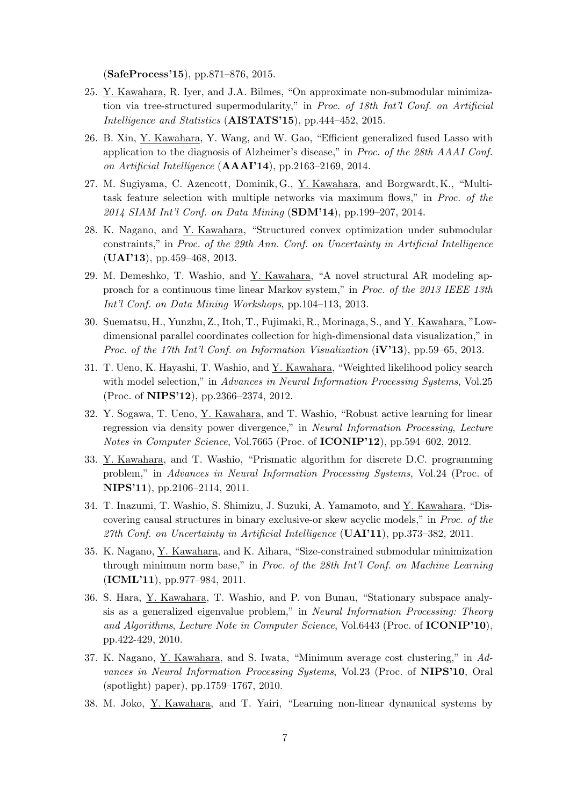(**SafeProcess'15**), pp.871–876, 2015.

- 25. Y. Kawahara, R. Iyer, and J.A. Bilmes, "On approximate non-submodular minimization via tree-structured supermodularity," in *Proc. of 18th Int'l Conf. on Artificial Intelligence and Statistics* (**AISTATS'15**), pp.444–452, 2015.
- 26. B. Xin, Y. Kawahara, Y. Wang, and W. Gao, "Efficient generalized fused Lasso with application to the diagnosis of Alzheimer's disease," in *Proc. of the 28th AAAI Conf. on Artificial Intelligence* (**AAAI'14**), pp.2163–2169, 2014.
- 27. M. Sugiyama, C. Azencott, Dominik, G., Y. Kawahara, and Borgwardt, K., "Multitask feature selection with multiple networks via maximum flows," in *Proc. of the 2014 SIAM Int'l Conf. on Data Mining* (**SDM'14**), pp.199–207, 2014.
- 28. K. Nagano, and Y. Kawahara, "Structured convex optimization under submodular constraints," in *Proc. of the 29th Ann. Conf. on Uncertainty in Artificial Intelligence* (**UAI'13**), pp.459–468, 2013.
- 29. M. Demeshko, T. Washio, and Y. Kawahara, "A novel structural AR modeling approach for a continuous time linear Markov system," in *Proc. of the 2013 IEEE 13th Int'l Conf. on Data Mining Workshops*, pp.104–113, 2013.
- 30. Suematsu, H., Yunzhu, Z., Itoh, T., Fujimaki, R., Morinaga, S., and Y. Kawahara, "Lowdimensional parallel coordinates collection for high-dimensional data visualization," in *Proc. of the 17th Int'l Conf. on Information Visualization* (**iV'13**), pp.59–65, 2013.
- 31. T. Ueno, K. Hayashi, T. Washio, and Y. Kawahara, "Weighted likelihood policy search with model selection," in *Advances in Neural Information Processing Systems*, Vol.25 (Proc. of **NIPS'12**), pp.2366–2374, 2012.
- 32. Y. Sogawa, T. Ueno, Y. Kawahara, and T. Washio, "Robust active learning for linear regression via density power divergence," in *Neural Information Processing*, *Lecture Notes in Computer Science*, Vol.7665 (Proc. of **ICONIP'12**), pp.594–602, 2012.
- 33. Y. Kawahara, and T. Washio, "Prismatic algorithm for discrete D.C. programming problem," in *Advances in Neural Information Processing Systems*, Vol.24 (Proc. of **NIPS'11**), pp.2106–2114, 2011.
- 34. T. Inazumi, T. Washio, S. Shimizu, J. Suzuki, A. Yamamoto, and Y. Kawahara, "Discovering causal structures in binary exclusive-or skew acyclic models," in *Proc. of the 27th Conf. on Uncertainty in Artificial Intelligence* (**UAI'11**), pp.373–382, 2011.
- 35. K. Nagano, Y. Kawahara, and K. Aihara, "Size-constrained submodular minimization through minimum norm base," in *Proc. of the 28th Int'l Conf. on Machine Learning* (**ICML'11**), pp.977–984, 2011.
- 36. S. Hara, Y. Kawahara, T. Washio, and P. von Bunau, "Stationary subspace analysis as a generalized eigenvalue problem," in *Neural Information Processing: Theory and Algorithms*, *Lecture Note in Computer Science*, Vol.6443 (Proc. of **ICONIP'10**), pp.422-429, 2010.
- 37. K. Nagano, Y. Kawahara, and S. Iwata, "Minimum average cost clustering," in *Advances in Neural Information Processing Systems*, Vol.23 (Proc. of **NIPS'10**, Oral (spotlight) paper), pp.1759–1767, 2010.
- 38. M. Joko, Y. Kawahara, and T. Yairi, "Learning non-linear dynamical systems by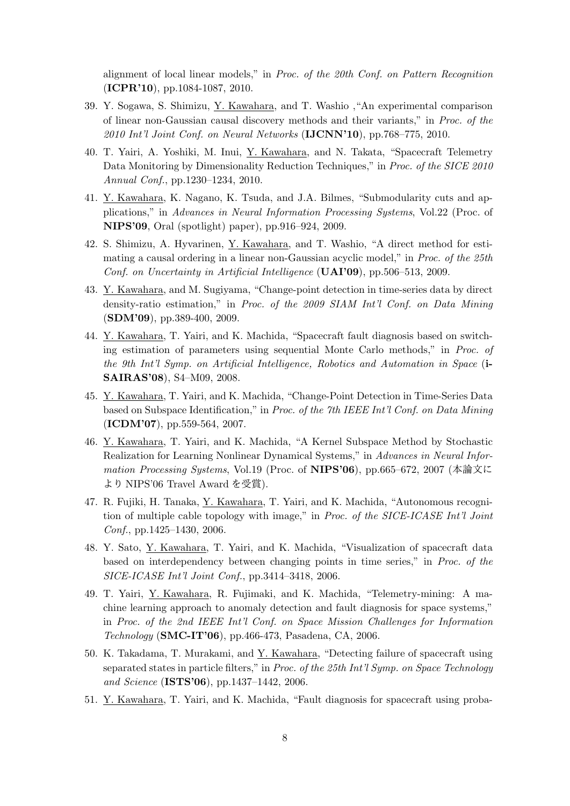alignment of local linear models," in *Proc. of the 20th Conf. on Pattern Recognition* (**ICPR'10**), pp.1084-1087, 2010.

- 39. Y. Sogawa, S. Shimizu, Y. Kawahara, and T. Washio ,"An experimental comparison of linear non-Gaussian causal discovery methods and their variants," in *Proc. of the 2010 Int'l Joint Conf. on Neural Networks* (**IJCNN'10**), pp.768–775, 2010.
- 40. T. Yairi, A. Yoshiki, M. Inui, Y. Kawahara, and N. Takata, "Spacecraft Telemetry Data Monitoring by Dimensionality Reduction Techniques," in *Proc. of the SICE 2010 Annual Conf.*, pp.1230–1234, 2010.
- 41. Y. Kawahara, K. Nagano, K. Tsuda, and J.A. Bilmes, "Submodularity cuts and applications," in *Advances in Neural Information Processing Systems*, Vol.22 (Proc. of **NIPS'09**, Oral (spotlight) paper), pp.916–924, 2009.
- 42. S. Shimizu, A. Hyvarinen, Y. Kawahara, and T. Washio, "A direct method for estimating a causal ordering in a linear non-Gaussian acyclic model," in *Proc. of the 25th Conf. on Uncertainty in Artificial Intelligence* (**UAI'09**), pp.506–513, 2009.
- 43. Y. Kawahara, and M. Sugiyama, "Change-point detection in time-series data by direct density-ratio estimation," in *Proc. of the 2009 SIAM Int'l Conf. on Data Mining* (**SDM'09**), pp.389-400, 2009.
- 44. Y. Kawahara, T. Yairi, and K. Machida, "Spacecraft fault diagnosis based on switching estimation of parameters using sequential Monte Carlo methods," in *Proc. of the 9th Int'l Symp. on Artificial Intelligence, Robotics and Automation in Space* (**i-SAIRAS'08**), S4–M09, 2008.
- 45. Y. Kawahara, T. Yairi, and K. Machida, "Change-Point Detection in Time-Series Data based on Subspace Identification," in *Proc. of the 7th IEEE Int'l Conf. on Data Mining* (**ICDM'07**), pp.559-564, 2007.
- 46. Y. Kawahara, T. Yairi, and K. Machida, "A Kernel Subspace Method by Stochastic Realization for Learning Nonlinear Dynamical Systems," in *Advances in Neural Information Processing Systems*, Vol.19 (Proc. of **NIPS'06**), pp.665–672, 2007 (本論文に より NIPS'06 Travel Award を受賞).
- 47. R. Fujiki, H. Tanaka, Y. Kawahara, T. Yairi, and K. Machida, "Autonomous recognition of multiple cable topology with image," in *Proc. of the SICE-ICASE Int'l Joint Conf.*, pp.1425–1430, 2006.
- 48. Y. Sato, Y. Kawahara, T. Yairi, and K. Machida, "Visualization of spacecraft data based on interdependency between changing points in time series," in *Proc. of the SICE-ICASE Int'l Joint Conf.*, pp.3414–3418, 2006.
- 49. T. Yairi, Y. Kawahara, R. Fujimaki, and K. Machida, "Telemetry-mining: A machine learning approach to anomaly detection and fault diagnosis for space systems," in *Proc. of the 2nd IEEE Int'l Conf. on Space Mission Challenges for Information Technology* (**SMC-IT'06**), pp.466-473, Pasadena, CA, 2006.
- 50. K. Takadama, T. Murakami, and Y. Kawahara, "Detecting failure of spacecraft using separated states in particle filters," in *Proc. of the 25th Int'l Symp. on Space Technology and Science* (**ISTS'06**), pp.1437–1442, 2006.
- 51. Y. Kawahara, T. Yairi, and K. Machida, "Fault diagnosis for spacecraft using proba-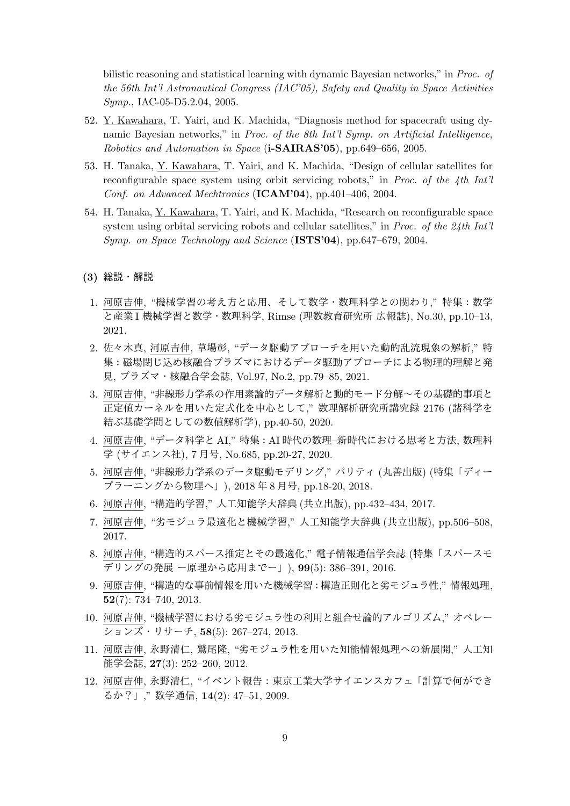bilistic reasoning and statistical learning with dynamic Bayesian networks," in *Proc. of the 56th Int'l Astronautical Congress (IAC'05), Safety and Quality in Space Activities Symp.*, IAC-05-D5.2.04, 2005.

- 52. Y. Kawahara, T. Yairi, and K. Machida, "Diagnosis method for spacecraft using dynamic Bayesian networks," in *Proc. of the 8th Int'l Symp. on Artificial Intelligence, Robotics and Automation in Space* (**i-SAIRAS'05**), pp.649–656, 2005.
- 53. H. Tanaka, Y. Kawahara, T. Yairi, and K. Machida, "Design of cellular satellites for reconfigurable space system using orbit servicing robots," in *Proc. of the 4th Int'l Conf. on Advanced Mechtronics* (**ICAM'04**), pp.401–406, 2004.
- 54. H. Tanaka, Y. Kawahara, T. Yairi, and K. Machida, "Research on reconfigurable space system using orbital servicing robots and cellular satellites," in *Proc. of the 24th Int'l Symp. on Space Technology and Science* (**ISTS'04**), pp.647–679, 2004.
- **(3)** 総説・解説
	- 1. 河原吉伸, "機械学習の考え方と応用、そして数学・数理科学との関わり," 特集:数学 と産業 I 機械学習と数学・数理科学, Rimse (理数教育研究所 広報誌), No.30, pp.10–13, 2021.
	- 2. 佐々木真, 河原吉伸, 草場彰, "データ駆動アプローチを用いた動的乱流現象の解析," 特 集:磁場閉じ込め核融合プラズマにおけるデータ駆動アプローチによる物理的理解と発 見, プラズマ・核融合学会誌, Vol.97, No.2, pp.79–85, 2021.
	- 3. 河原吉伸, "非線形力学系の作用素論的データ解析と動的モード分解~その基礎的事項と 正定値カーネルを用いた定式化を中心として," 数理解析研究所講究録 2176 (諸科学を 結ぶ基礎学問としての数値解析学), pp.40-50, 2020.
	- 4. 河原吉伸, "データ科学と AI," 特集:AI 時代の数理–新時代における思考と方法, 数理科 学 (サイエンス社), 7 月号, No.685, pp.20-27, 2020.
	- 5. 河原吉伸, "非線形力学系のデータ駆動モデリング," パリティ (丸善出版) (特集「ディー プラーニングから物理へ」), 2018 年 8 月号, pp.18-20, 2018.
	- 6. 河原吉伸, "構造的学習," 人工知能学大辞典 (共立出版), pp.432–434, 2017.
	- 7. 河原吉伸, "劣モジュラ最適化と機械学習," 人工知能学大辞典 (共立出版), pp.506–508, 2017.
	- 8. 河原吉伸, "構造的スパース推定とその最適化," 電子情報通信学会誌 (特集「スパースモ デリングの発展 ー原理から応用までー」), **99**(5): 386–391, 2016.
	- 9. 河原吉伸, "構造的な事前情報を用いた機械学習:構造正則化と劣モジュラ性," 情報処理, **52**(7): 734–740, 2013.
- 10. 河原吉伸, "機械学習における劣モジュラ性の利用と組合せ論的アルゴリズム," オペレー ションズ・リサーチ, **58**(5): 267–274, 2013.
- 11. 河原吉伸, 永野清仁, 鷲尾隆, "劣モジュラ性を用いた知能情報処理への新展開," 人工知 能学会誌, **27**(3): 252–260, 2012.
- 12. 河原吉伸, 永野清仁, "イベント報告:東京工業大学サイエンスカフェ「計算で何ができ るか?」," 数学通信, **14**(2): 47–51, 2009.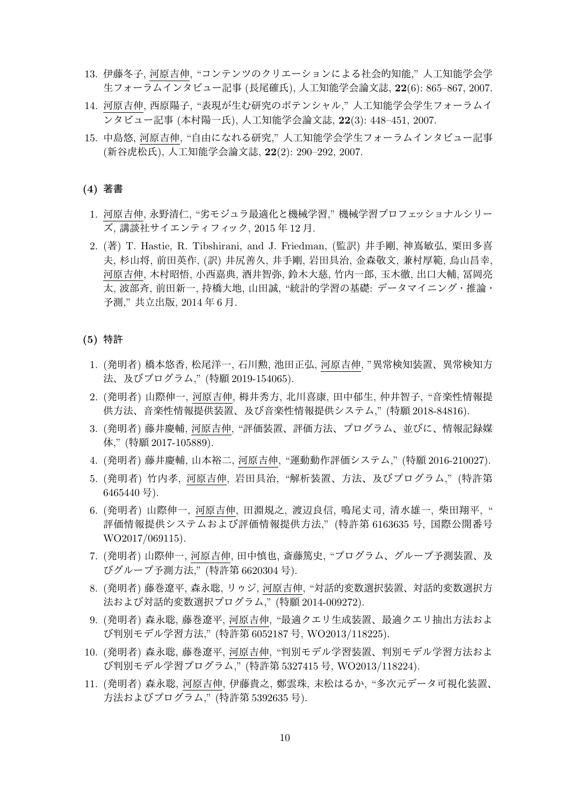- 13. 伊藤冬子, 河原吉伸, "コンテンツのクリエーションによる社会的知能," 人工知能学会学 生フォーラムインタビュー記事 (長尾確氏), 人工知能学会論文誌, **22**(6): 865–867, 2007.
- 14. 河原吉伸, 西原陽子, "表現が生む研究のポテンシャル," 人工知能学会学生フォーラムイ ンタビュー記事 (本村陽一氏), 人工知能学会論文誌, **22**(3): 448–451, 2007.
- 15. 中島悠, 河原吉伸, "自由になれる研究," 人工知能学会学生フォーラムインタビュー記事 (新谷虎松氏), 人工知能学会論文誌, **22**(2): 290–292, 2007.

## **(4)** 著書

- 1. 河原吉伸, 永野清仁, "劣モジュラ最適化と機械学習," 機械学習プロフェッショナルシリー ズ, 講談社サイエンティフィック, 2015 年 12 月.
- 2. (著) T. Hastie, R. Tibshirani, and J. Friedman, (監訳) 井手剛, 神嶌敏弘, 栗田多喜 夫, 杉山将, 前田英作, (訳) 井尻善久, 井手剛, 岩田具治, 金森敬文, 兼村厚範, 烏山昌幸, 河原吉伸, 木村昭悟, 小西嘉典, 酒井智弥, 鈴木大慈, 竹内一郎, 玉木徹, 出口大輔, 冨岡亮 太, 波部斉, 前田新一, 持橋大地, 山田誠, "統計的学習の基礎: データマイニング・推論・ 予測," 共立出版, 2014 年 6 月.

# **(5)** 特許

- 1. (発明者) 橋本悠香, 松尾洋一, 石川勲, 池田正弘, 河原吉伸, "異常検知装置、異常検知方 法、及びプログラム," (特願 2019-154065).
- 2. (発明者) 山際伸一, 河原吉伸, 栂井秀方, 北川喜康, 田中郁生, 仲井智子, "音楽性情報提 供方法、音楽性情報提供装置、及び音楽性情報提供システム," (特願 2018-84816).
- 3. (発明者) 藤井慶輔, 河原吉伸, "評価装置、評価方法、プログラム、並びに、情報記録媒 体," (特願 2017-105889).
- 4. (発明者) 藤井慶輔, 山本裕二, 河原吉伸, "運動動作評価システム," (特願 2016-210027).
- 5. (発明者) 竹内孝, 河原吉伸, 岩田具治, "解析装置、方法、及びプログラム," (特許第 6465440 号).
- 6. (発明者) 山際伸一, 河原吉伸, 田淵規之, 渡辺良信, 鳴尾丈司, 清水雄一, 柴田翔平, " 評価情報提供システムおよび評価情報提供方法," (特許第 6163635 号, 国際公開番号 WO2017/069115).
- 7. (発明者) 山際伸一, 河原吉伸, 田中慎也, 斎藤篤史, "プログラム、グループ予測装置、及 びグループ予測方法," (特許第 6620304 号).
- 8. (発明者) 藤巻遼平, 森永聡, リゥジ, 河原吉伸, "対話的変数選択装置、対話的変数選択方 法および対話的変数選択プログラム," (特願 2014-009272).
- 9. (発明者) 森永聡, 藤巻遼平, 河原吉伸, "最適クエリ生成装置、最適クエリ抽出方法およ び判別モデル学習方法," (特許第 6052187 号, WO2013/118225).
- 10. (発明者) 森永聡, 藤巻遼平, 河原吉伸, "判別モデル学習装置、判別モデル学習方法およ び判別モデル学習プログラム," (特許第 5327415 号, WO2013/118224).
- 11. (発明者) 森永聡, 河原吉伸, 伊藤貴之, 鄭雲珠, 末松はるか, "多次元データ可視化装置、 方法およびプログラム," (特許第 5392635 号).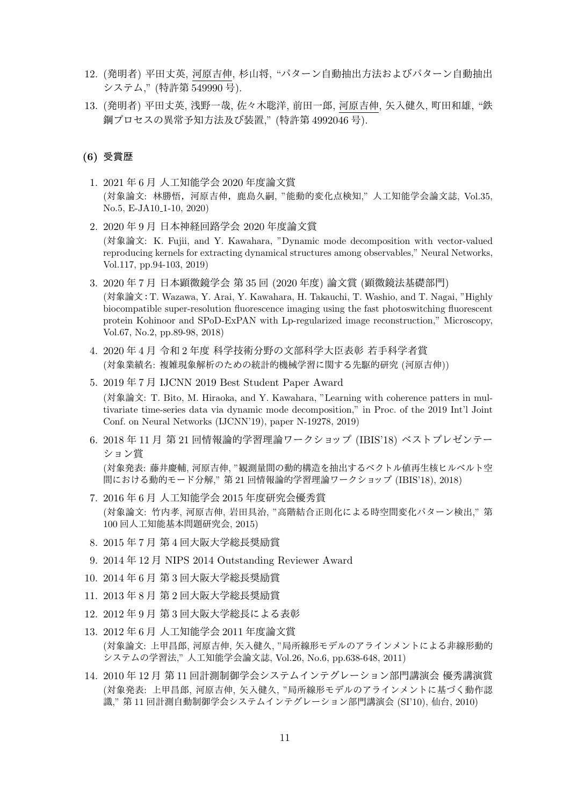- 12. (発明者) 平田丈英, 河原吉伸, 杉山将, "パターン自動抽出方法およびパターン自動抽出 システム," (特許第 549990 号).
- 13. (発明者) 平田丈英, 浅野一哉, 佐々木聡洋, 前田一郎, 河原吉伸, 矢入健久, 町田和雄, "鉄 鋼プロセスの異常予知方法及び装置," (特許第 4992046 号).

## **(6)** 受賞歴

- 1. 2021 年 6 月 人工知能学会 2020 年度論文賞 (対象論文: 林勝悟,河原吉伸,鹿島久嗣, "能動的変化点検知," 人工知能学会論文誌, Vol.35, No.5, E-JA10<sub>-1</sub>-10, 2020)
- 2. 2020 年 9 月 日本神経回路学会 2020 年度論文賞 (対象論文: K. Fujii, and Y. Kawahara, "Dynamic mode decomposition with vector-valued reproducing kernels for extracting dynamical structures among observables," Neural Networks, Vol.117, pp.94-103, 2019)
- 3. 2020 年 7 月 日本顕微鏡学会 第 35 回 (2020 年度) 論文賞 (顕微鏡法基礎部門) (対象論文:T. Wazawa, Y. Arai, Y. Kawahara, H. Takauchi, T. Washio, and T. Nagai, "Highly biocompatible super-resolution fluorescence imaging using the fast photoswitching fluorescent protein Kohinoor and SPoD-ExPAN with Lp-regularized image reconstruction," Microscopy, Vol.67, No.2, pp.89-98, 2018)
- 4. 2020 年 4 月 令和 2 年度 科学技術分野の文部科学大臣表彰 若手科学者賞 (対象業績名: 複雑現象解析のための統計的機械学習に関する先駆的研究 (河原吉伸))
- 5. 2019 年 7 月 IJCNN 2019 Best Student Paper Award

(対象論文: T. Bito, M. Hiraoka, and Y. Kawahara, "Learning with coherence patters in multivariate time-series data via dynamic mode decomposition," in Proc. of the 2019 Int'l Joint Conf. on Neural Networks (IJCNN'19), paper N-19278, 2019)

- 6. 2018 年 11 月 第 21 回情報論的学習理論ワークショップ (IBIS'18) ベストプレゼンテー ション賞 (対象発表: 藤井慶輔, 河原吉伸, "観測量間の動的構造を抽出するベクトル値再生核ヒルベルト空 間における動的モード分解," 第 21 回情報論的学習理論ワークショップ (IBIS'18), 2018)
- 7. 2016 年 6 月 人工知能学会 2015 年度研究会優秀賞 (対象論文: 竹内孝, 河原吉伸, 岩田具治, "高階結合正則化による時空間変化パターン検出," 第 100 回人工知能基本問題研究会, 2015)
- 8. 2015 年 7 月 第 4 回大阪大学総長奨励賞
- 9. 2014 年 12 月 NIPS 2014 Outstanding Reviewer Award
- 10. 2014 年 6 月 第 3 回大阪大学総長奨励賞
- 11. 2013 年 8 月 第 2 回大阪大学総長奨励賞
- 12. 2012 年 9 月 第 3 回大阪大学総長による表彰
- 13. 2012 年 6 月 人工知能学会 2011 年度論文賞 (対象論文: 上甲昌郎, 河原吉伸, 矢入健久, "局所線形モデルのアラインメントによる非線形動的 システムの学習法," 人工知能学会論文誌, Vol.26, No.6, pp.638-648, 2011)
- 14. 2010 年 12 月 第 11 回計測制御学会システムインテグレーション部門講演会 優秀講演賞 (対象発表: 上甲昌郎, 河原吉伸, 矢入健久, "局所線形モデルのアラインメントに基づく動作認 識," 第 11 回計測自動制御学会システムインテグレーション部門講演会 (SI'10), 仙台, 2010)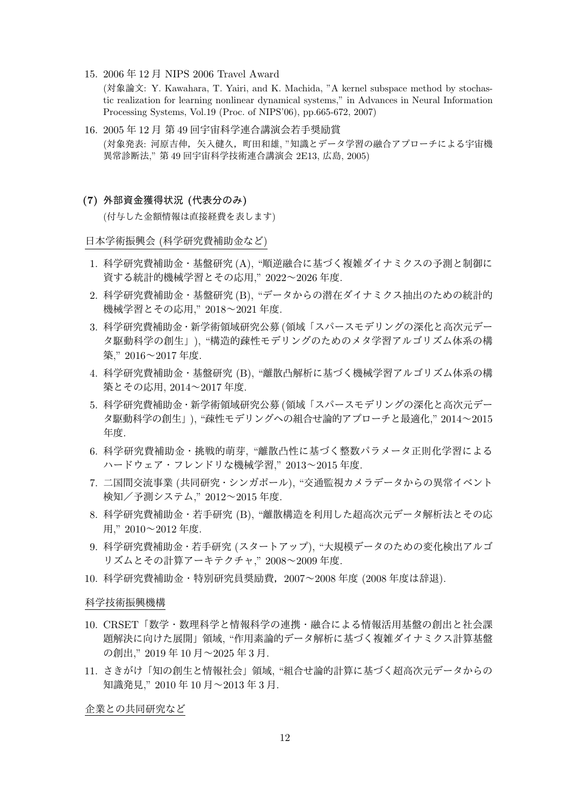15. 2006 年 12 月 NIPS 2006 Travel Award

(対象論文: Y. Kawahara, T. Yairi, and K. Machida, "A kernel subspace method by stochastic realization for learning nonlinear dynamical systems," in Advances in Neural Information Processing Systems, Vol.19 (Proc. of NIPS'06), pp.665-672, 2007)

- 16. 2005 年 12 月 第 49 回宇宙科学連合講演会若手奨励賞 (対象発表: 河原吉伸,矢入健久,町田和雄, "知識とデータ学習の融合アプローチによる宇宙機 異常診断法," 第 49 回宇宙科学技術連合講演会 2E13, 広島, 2005)
- **(7)** 外部資金獲得状況 **(**代表分のみ**)**

(付与した金額情報は直接経費を表します)

日本学術振興会 (科学研究費補助金など)

- 1. 科学研究費補助金・基盤研究 (A), "順逆融合に基づく複雑ダイナミクスの予測と制御に 資する統計的機械学習とその応用," 2022~2026 年度.
- 2. 科学研究費補助金・基盤研究 (B), "データからの潜在ダイナミクス抽出のための統計的 機械学習とその応用," 2018~2021 年度.
- 3. 科学研究費補助金・新学術領域研究公募 (領域「スパースモデリングの深化と高次元デー タ駆動科学の創生」), "構造的疎性モデリングのためのメタ学習アルゴリズム体系の構 築," 2016~2017 年度.
- 4. 科学研究費補助金・基盤研究 (B), "離散凸解析に基づく機械学習アルゴリズム体系の構 築とその応用, 2014~2017 年度.
- 5. 科学研究費補助金・新学術領域研究公募 (領域「スパースモデリングの深化と高次元デー タ駆動科学の創生」), "疎性モデリングへの組合せ論的アプローチと最適化," 2014~2015 年度.
- 6. 科学研究費補助金・挑戦的萌芽, "離散凸性に基づく整数パラメータ正則化学習による ハードウェア・フレンドリな機械学習," 2013~2015 年度.
- 7. 二国間交流事業 (共同研究・シンガポール), "交通監視カメラデータからの異常イベント 検知/予測システム," 2012~2015 年度.
- 8. 科学研究費補助金・若手研究 (B), "離散構造を利用した超高次元データ解析法とその応 用," 2010~2012 年度.
- 9. 科学研究費補助金・若手研究 (スタートアップ), "大規模データのための変化検出アルゴ リズムとその計算アーキテクチャ," 2008~2009 年度.
- 10. 科学研究費補助金・特別研究員奨励費,2007~2008 年度 (2008 年度は辞退).

#### 科学技術振興機構

- 10. CRSET「数学・数理科学と情報科学の連携・融合による情報活用基盤の創出と社会課 題解決に向けた展開」領域, "作用素論的データ解析に基づく複雑ダイナミクス計算基盤 の創出," 2019 年 10 月~2025 年 3 月.
- 11. さきがけ「知の創生と情報社会」領域, "組合せ論的計算に基づく超高次元データからの 知識発見," 2010 年 10 月~2013 年 3 月.

企業との共同研究など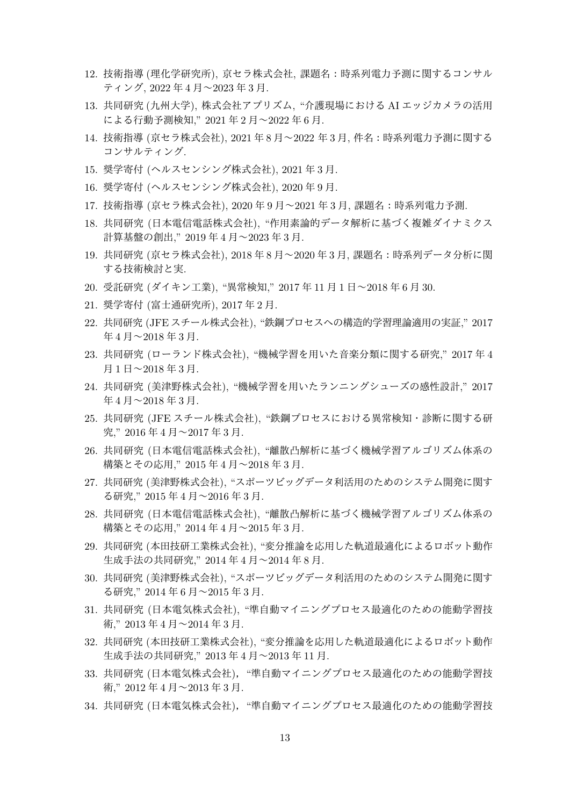- 12. 技術指導 (理化学研究所), 京セラ株式会社, 課題名:時系列電力予測に関するコンサル ティング, 2022 年 4 月~2023 年 3 月.
- 13. 共同研究 (九州大学), 株式会社アプリズム, "介護現場における AI エッジカメラの活用 による行動予測検知," 2021 年 2 月~2022 年 6 月.
- 14. 技術指導 (京セラ株式会社), 2021 年 8 月~2022 年 3 月, 件名:時系列電力予測に関する コンサルティング.
- 15. 奨学寄付 (ヘルスセンシング株式会社), 2021 年 3 月.
- 16. 奨学寄付 (ヘルスセンシング株式会社), 2020 年 9 月.
- 17. 技術指導 (京セラ株式会社), 2020 年 9 月~2021 年 3 月, 課題名:時系列電力予測.
- 18. 共同研究 (日本電信電話株式会社), "作用素論的データ解析に基づく複雑ダイナミクス 計算基盤の創出," 2019 年 4 月~2023 年 3 月.
- 19. 共同研究 (京セラ株式会社), 2018 年 8 月~2020 年 3 月, 課題名:時系列データ分析に関 する技術検討と実.
- 20. 受託研究 (ダイキン工業), "異常検知," 2017 年 11 月 1 日~2018 年 6 月 30.
- 21. 奨学寄付 (富士通研究所), 2017 年 2 月.
- 22. 共同研究 (JFE スチール株式会社), "鉄鋼プロセスへの構造的学習理論適用の実証," 2017 年 4 月~2018 年 3 月.
- 23. 共同研究 (ローランド株式会社), "機械学習を用いた音楽分類に関する研究," 2017 年 4 月 1 日~2018 年 3 月.
- 24. 共同研究 (美津野株式会社), "機械学習を用いたランニングシューズの感性設計," 2017 年 4 月~2018 年 3 月.
- 25. 共同研究 (JFE スチール株式会社), "鉄鋼プロセスにおける異常検知・診断に関する研 究," 2016 年 4 月~2017 年 3 月.
- 26. 共同研究 (日本電信電話株式会社), "離散凸解析に基づく機械学習アルゴリズム体系の 構築とその応用," 2015 年 4 月~2018 年 3 月.
- 27. 共同研究 (美津野株式会社), "スポーツビッグデータ利活用のためのシステム開発に関す る研究," 2015 年 4 月~2016 年 3 月.
- 28. 共同研究 (日本電信電話株式会社), "離散凸解析に基づく機械学習アルゴリズム体系の 構築とその応用," 2014 年 4 月~2015 年 3 月.
- 29. 共同研究 (本田技研工業株式会社), "変分推論を応用した軌道最適化によるロボット動作 生成手法の共同研究," 2014 年 4 月~2014 年 8 月.
- 30. 共同研究 (美津野株式会社), "スポーツビッグデータ利活用のためのシステム開発に関す る研究," 2014 年 6 月~2015 年 3 月.
- 31. 共同研究 (日本電気株式会社), "準自動マイニングプロセス最適化のための能動学習技 術," 2013 年 4 月~2014 年 3 月.
- 32. 共同研究 (本田技研工業株式会社), "変分推論を応用した軌道最適化によるロボット動作 生成手法の共同研究," 2013 年 4 月~2013 年 11 月.
- 33. 共同研究 (日本電気株式会社), "準自動マイニングプロセス最適化のための能動学習技 術," 2012 年 4 月~2013 年 3 月.
- 34. 共同研究 (日本電気株式会社), "準自動マイニングプロセス最適化のための能動学習技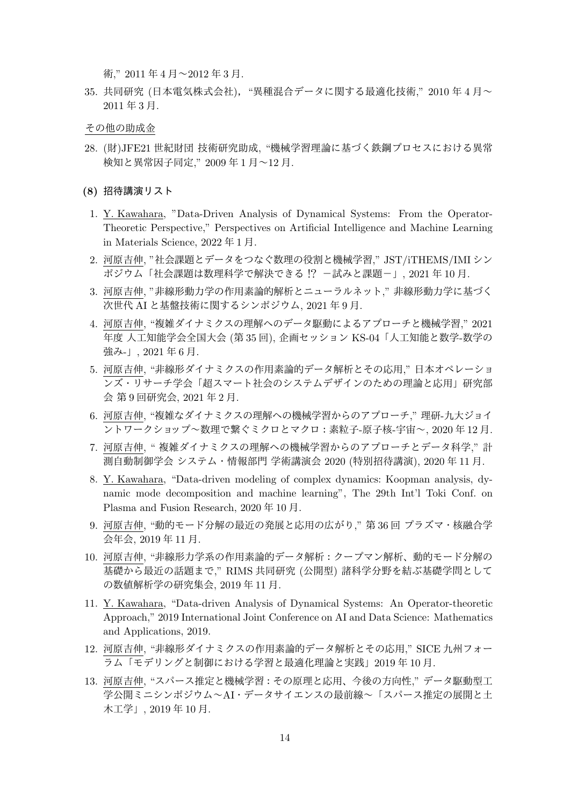術," 2011 年 4 月~2012 年 3 月.

- 35. 共同研究 (日本電気株式会社), "異種混合データに関する最適化技術," 2010 年 4 月~ 2011 年 3 月.
- その他の助成金
- 28. (財)JFE21 世紀財団 技術研究助成, "機械学習理論に基づく鉄鋼プロセスにおける異常 検知と異常因子同定," 2009 年 1 月~12 月.
- **(8)** 招待講演リスト
- 1. Y. Kawahara, "Data-Driven Analysis of Dynamical Systems: From the Operator-Theoretic Perspective," Perspectives on Artificial Intelligence and Machine Learning in Materials Science, 2022 年 1 月.
- 2. 河原吉伸, "社会課題とデータをつなぐ数理の役割と機械学習," JST/iTHEMS/IMI シン ポジウム「社会課題は数理科学で解決できる !? -試みと課題-」, 2021 年 10 月.
- 3. 河原吉伸, "非線形動力学の作用素論的解析とニューラルネット," 非線形動力学に基づく 次世代 AI と基盤技術に関するシンポジウム, 2021 年 9 月.
- 4. 河原吉伸, "複雑ダイナミクスの理解へのデータ駆動によるアプローチと機械学習," 2021 年度 人工知能学会全国大会 (第 35 回), 企画セッション KS-04「人工知能と数学-数学の 強み-」, 2021年6月.
- 5. 河原吉伸, "非線形ダイナミクスの作用素論的データ解析とその応用," 日本オペレーショ ンズ・リサーチ学会「超スマート社会のシステムデザインのための理論と応用」研究部 会 第 9 回研究会, 2021 年 2 月.
- 6. 河原吉伸, "複雑なダイナミクスの理解への機械学習からのアプローチ," 理研-九大ジョイ ントワークショップ~数理で繋ぐミクロとマクロ:素粒子-原子核-宇宙~, 2020 年 12 月.
- 7. 河原吉伸, " 複雑ダイナミクスの理解への機械学習からのアプローチとデータ科学," 計 測自動制御学会 システム・情報部門 学術講演会 2020 (特別招待講演), 2020 年 11 月.
- 8. Y. Kawahara, "Data-driven modeling of complex dynamics: Koopman analysis, dynamic mode decomposition and machine learning", The 29th Int'l Toki Conf. on Plasma and Fusion Research, 2020 年 10 月.
- 9. 河原吉伸, "動的モード分解の最近の発展と応用の広がり," 第 36 回 プラズマ・核融合学 会年会, 2019 年 11 月.
- 10. 河原吉伸, "非線形力学系の作用素論的データ解析:クープマン解析、動的モード分解の 基礎から最近の話題まで," RIMS 共同研究 (公開型) 諸科学分野を結ぶ基礎学問として の数値解析学の研究集会, 2019 年 11 月.
- 11. Y. Kawahara, "Data-driven Analysis of Dynamical Systems: An Operator-theoretic Approach," 2019 International Joint Conference on AI and Data Science: Mathematics and Applications, 2019.
- 12. 河原吉伸, "非線形ダイナミクスの作用素論的データ解析とその応用," SICE 九州フォー ラム「モデリングと制御における学習と最適化理論と実践」2019 年 10 月.
- 13. 河原吉伸, "スパース推定と機械学習:その原理と応用、今後の方向性," データ駆動型工 学公開ミニシンポジウム~AI・データサイエンスの最前線~「スパース推定の展開と土 木工学」, 2019 年 10 月.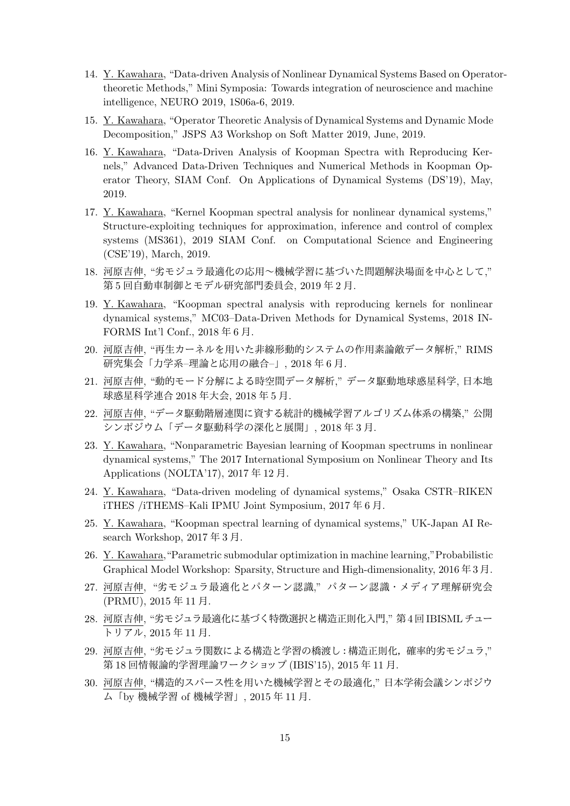- 14. Y. Kawahara, "Data-driven Analysis of Nonlinear Dynamical Systems Based on Operatortheoretic Methods," Mini Symposia: Towards integration of neuroscience and machine intelligence, NEURO 2019, 1S06a-6, 2019.
- 15. Y. Kawahara, "Operator Theoretic Analysis of Dynamical Systems and Dynamic Mode Decomposition," JSPS A3 Workshop on Soft Matter 2019, June, 2019.
- 16. Y. Kawahara, "Data-Driven Analysis of Koopman Spectra with Reproducing Kernels," Advanced Data-Driven Techniques and Numerical Methods in Koopman Operator Theory, SIAM Conf. On Applications of Dynamical Systems (DS'19), May, 2019.
- 17. Y. Kawahara, "Kernel Koopman spectral analysis for nonlinear dynamical systems," Structure-exploiting techniques for approximation, inference and control of complex systems (MS361), 2019 SIAM Conf. on Computational Science and Engineering (CSE'19), March, 2019.
- 18. 河原吉伸, "劣モジュラ最適化の応用~機械学習に基づいた問題解決場面を中心として," 第 5 回自動車制御とモデル研究部門委員会, 2019 年 2 月.
- 19. Y. Kawahara, "Koopman spectral analysis with reproducing kernels for nonlinear dynamical systems," MC03–Data-Driven Methods for Dynamical Systems, 2018 IN-FORMS Int'l Conf., 2018 年 6 月.
- 20. 河原吉伸, "再生カーネルを用いた非線形動的システムの作用素論敵データ解析," RIMS 研究集会「力学系–理論と応用の融合–」, 2018 年 6 月.
- 21. 河原吉伸, "動的モード分解による時空間データ解析," データ駆動地球惑星科学, 日本地 球惑星科学連合 2018 年大会, 2018 年 5 月.
- 22. 河原吉伸, "データ駆動階層連関に資する統計的機械学習アルゴリズム体系の構築," 公開 シンポジウム「データ駆動科学の深化と展開」, 2018 年 3 月.
- 23. Y. Kawahara, "Nonparametric Bayesian learning of Koopman spectrums in nonlinear dynamical systems," The 2017 International Symposium on Nonlinear Theory and Its Applications (NOLTA'17), 2017 年 12 月.
- 24. Y. Kawahara, "Data-driven modeling of dynamical systems," Osaka CSTR–RIKEN iTHES /iTHEMS–Kali IPMU Joint Symposium, 2017 年 6 月.
- 25. Y. Kawahara, "Koopman spectral learning of dynamical systems," UK-Japan AI Research Workshop, 2017 年 3 月.
- 26. Y. Kawahara,"Parametric submodular optimization in machine learning,"Probabilistic Graphical Model Workshop: Sparsity, Structure and High-dimensionality, 2016 年 3 月.
- 27. 河原吉伸, "劣モジュラ最適化とパターン認識," パターン認識・メディア理解研究会 (PRMU), 2015 年 11 月.
- 28. 河原吉伸, "劣モジュラ最適化に基づく特徴選択と構造正則化入門," 第4回IBISMLチュー トリアル, 2015 年 11 月.
- 29. 河原吉伸, "劣モジュラ関数による構造と学習の橋渡し:構造正則化,確率的劣モジュラ," 第 18 回情報論的学習理論ワークショップ (IBIS'15), 2015 年 11 月.
- 30. 河原吉伸, "構造的スパース性を用いた機械学習とその最適化," 日本学術会議シンポジウ ム「by 機械学習 of 機械学習」, 2015 年 11 月.